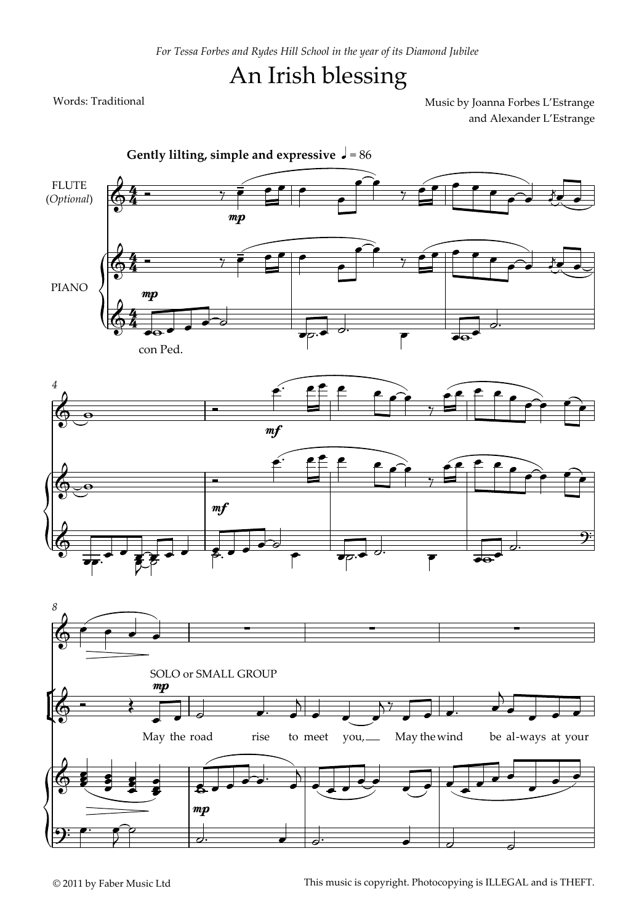## An Irish blessing

Words: Traditional **Music by Joanna Forbes L'Estrange** and Alexander L'Estrange

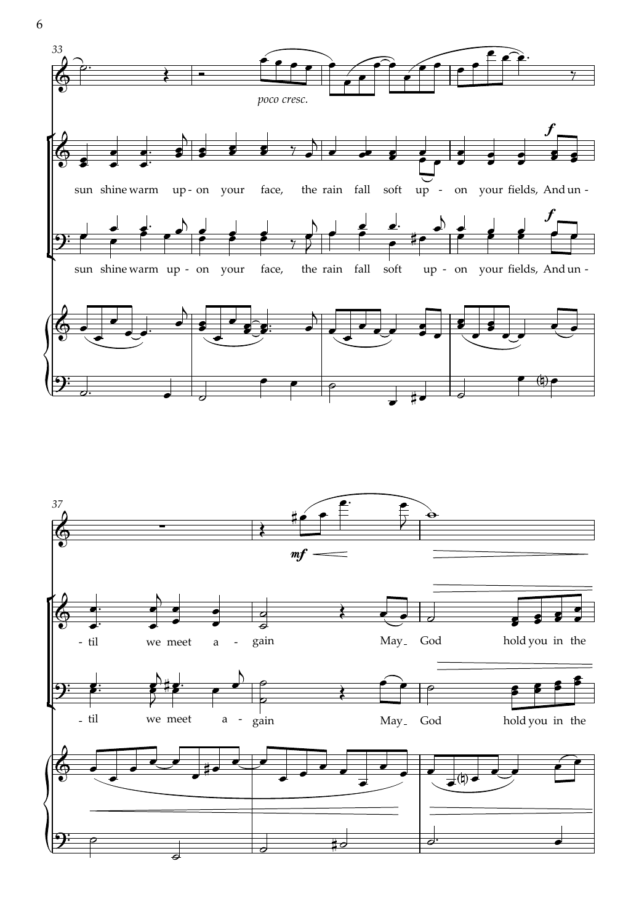